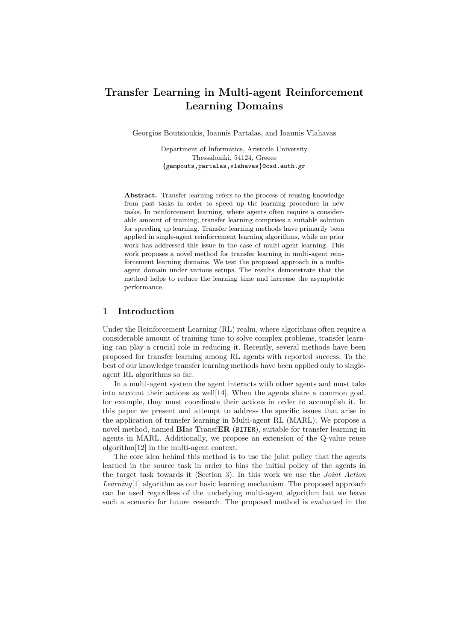# Transfer Learning in Multi-agent Reinforcement Learning Domains

Georgios Boutsioukis, Ioannis Partalas, and Ioannis Vlahavas

Department of Informatics, Aristotle University Thessaloniki, 54124, Greece {gampouts,partalas,vlahavas}@csd.auth.gr

Abstract. Transfer learning refers to the process of reusing knowledge from past tasks in order to speed up the learning procedure in new tasks. In reinforcement learning, where agents often require a considerable amount of training, transfer learning comprises a suitable solution for speeding up learning. Transfer learning methods have primarily been applied in single-agent reinforcement learning algorithms, while no prior work has addressed this issue in the case of multi-agent learning. This work proposes a novel method for transfer learning in multi-agent reinforcement learning domains. We test the proposed approach in a multiagent domain under various setups. The results demonstrate that the method helps to reduce the learning time and increase the asymptotic performance.

# 1 Introduction

Under the Reinforcement Learning (RL) realm, where algorithms often require a considerable amount of training time to solve complex problems, transfer learning can play a crucial role in reducing it. Recently, several methods have been proposed for transfer learning among RL agents with reported success. To the best of our knowledge transfer learning methods have been applied only to singleagent RL algorithms so far.

In a multi-agent system the agent interacts with other agents and must take into account their actions as well[14]. When the agents share a common goal, for example, they must coordinate their actions in order to accomplish it. In this paper we present and attempt to address the specific issues that arise in the application of transfer learning in Multi-agent RL (MARL). We propose a novel method, named **BIas TransfER** (BITER), suitable for transfer learning in agents in MARL. Additionally, we propose an extension of the Q-value reuse algorithm[12] in the multi-agent context.

The core idea behind this method is to use the joint policy that the agents learned in the source task in order to bias the initial policy of the agents in the target task towards it (Section 3). In this work we use the Joint Action Learning[1] algorithm as our basic learning mechanism. The proposed approach can be used regardless of the underlying multi-agent algorithm but we leave such a scenario for future research. The proposed method is evaluated in the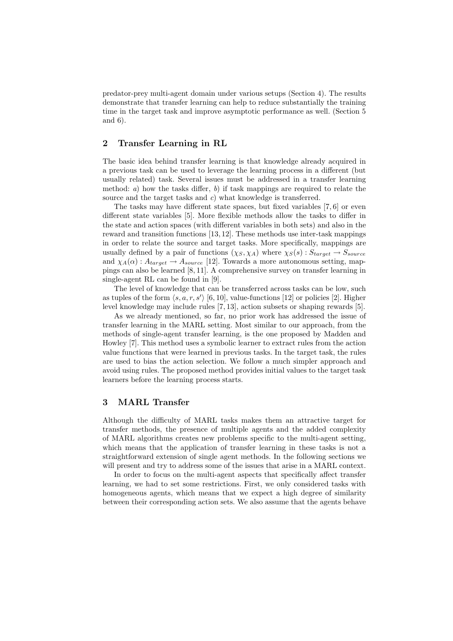predator-prey multi-agent domain under various setups (Section 4). The results demonstrate that transfer learning can help to reduce substantially the training time in the target task and improve asymptotic performance as well. (Section 5 and 6).

# 2 Transfer Learning in RL

The basic idea behind transfer learning is that knowledge already acquired in a previous task can be used to leverage the learning process in a different (but usually related) task. Several issues must be addressed in a transfer learning method:  $a$ ) how the tasks differ,  $b$ ) if task mappings are required to relate the source and the target tasks and  $c$ ) what knowledge is transferred.

The tasks may have different state spaces, but fixed variables [7, 6] or even different state variables [5]. More flexible methods allow the tasks to differ in the state and action spaces (with different variables in both sets) and also in the reward and transition functions [13, 12]. These methods use inter-task mappings in order to relate the source and target tasks. More specifically, mappings are usually defined by a pair of functions  $(\chi_S, \chi_A)$  where  $\chi_S(s) : S_{target} \to S_{source}$ and  $\chi_A(\alpha): A_{target} \to A_{source}$  [12]. Towards a more autonomous setting, mappings can also be learned [8, 11]. A comprehensive survey on transfer learning in single-agent RL can be found in [9].

The level of knowledge that can be transferred across tasks can be low, such as tuples of the form  $\langle s, a, r, s' \rangle$  [6, 10], value-functions [12] or policies [2]. Higher level knowledge may include rules [7, 13], action subsets or shaping rewards [5].

As we already mentioned, so far, no prior work has addressed the issue of transfer learning in the MARL setting. Most similar to our approach, from the methods of single-agent transfer learning, is the one proposed by Madden and Howley [7]. This method uses a symbolic learner to extract rules from the action value functions that were learned in previous tasks. In the target task, the rules are used to bias the action selection. We follow a much simpler approach and avoid using rules. The proposed method provides initial values to the target task learners before the learning process starts.

### 3 MARL Transfer

Although the difficulty of MARL tasks makes them an attractive target for transfer methods, the presence of multiple agents and the added complexity of MARL algorithms creates new problems specific to the multi-agent setting, which means that the application of transfer learning in these tasks is not a straightforward extension of single agent methods. In the following sections we will present and try to address some of the issues that arise in a MARL context.

In order to focus on the multi-agent aspects that specifically affect transfer learning, we had to set some restrictions. First, we only considered tasks with homogeneous agents, which means that we expect a high degree of similarity between their corresponding action sets. We also assume that the agents behave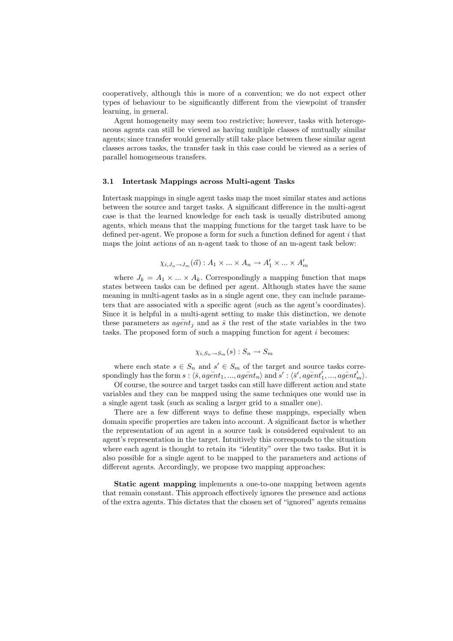cooperatively, although this is more of a convention; we do not expect other types of behaviour to be significantly different from the viewpoint of transfer learning, in general.

Agent homogeneity may seem too restrictive; however, tasks with heterogeneous agents can still be viewed as having multiple classes of mutually similar agents; since transfer would generally still take place between these similar agent classes across tasks, the transfer task in this case could be viewed as a series of parallel homogeneous transfers.

#### 3.1 Intertask Mappings across Multi-agent Tasks

Intertask mappings in single agent tasks map the most similar states and actions between the source and target tasks. A significant difference in the multi-agent case is that the learned knowledge for each task is usually distributed among agents, which means that the mapping functions for the target task have to be defined per-agent. We propose a form for such a function defined for agent  $i$  that maps the joint actions of an n-agent task to those of an m-agent task below:

$$
\chi_{i,J_n\to J_m}(\vec{\alpha}) : A_1 \times \ldots \times A_n \to A'_1 \times \ldots \times A'_m
$$

where  $J_k = A_1 \times ... \times A_k$ . Correspondingly a mapping function that maps states between tasks can be defined per agent. Although states have the same meaning in multi-agent tasks as in a single agent one, they can include parameters that are associated with a specific agent (such as the agent's coordinates). Since it is helpful in a multi-agent setting to make this distinction, we denote these parameters as  $a\ddot{gen}t_i$  and as  $\bar{s}$  the rest of the state variables in the two tasks. The proposed form of such a mapping function for agent i becomes:

$$
\chi_{i,S_n\to S_m}(s):S_n\to S_m
$$

where each state  $s \in S_n$  and  $s' \in S_m$  of the target and source tasks corre- $\{ \text{is,} \text{ a} \text{ s.t. } \text{ is,} \text{ a} \text{ s.t. } \text{ is,} \text{ a} \text{ s.t. } \text{ is,} \text{ a} \text{ s.t. } \text{ is,} \text{ a} \text{ s.t. } \text{ is,} \text{ a} \text{ s.t. } \text{ is,} \text{ a} \text{ s.t. } \text{ is,} \text{ a} \text{ s.t. } \text{ is,} \text{ a} \text{ s.t. } \text{ is,} \text{ a} \text{ s.t. } \text{ is,} \text{ a} \text{ s.t. } \text{ is,} \text{ a} \text{ s.t. } \text$  $\langle ,...,a \overline{gent}'_m \rangle.$ 

Of course, the source and target tasks can still have different action and state variables and they can be mapped using the same techniques one would use in a single agent task (such as scaling a larger grid to a smaller one).

There are a few different ways to define these mappings, especially when domain specific properties are taken into account. A significant factor is whether the representation of an agent in a source task is considered equivalent to an agent's representation in the target. Intuitively this corresponds to the situation where each agent is thought to retain its "identity" over the two tasks. But it is also possible for a single agent to be mapped to the parameters and actions of different agents. Accordingly, we propose two mapping approaches:

Static agent mapping implements a one-to-one mapping between agents that remain constant. This approach effectively ignores the presence and actions of the extra agents. This dictates that the chosen set of "ignored" agents remains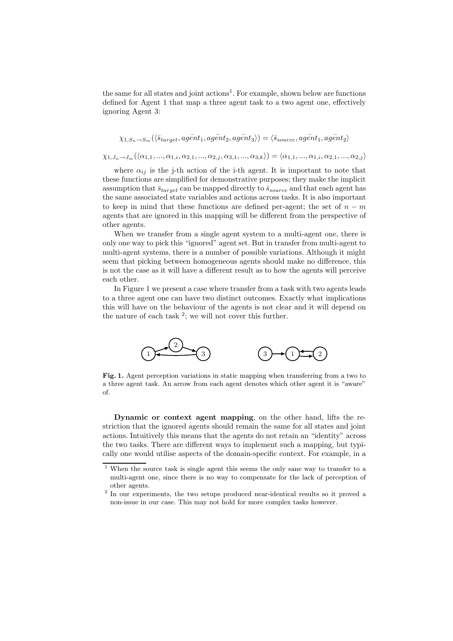the same for all states and joint actions<sup>1</sup>. For example, shown below are functions defined for Agent 1 that map a three agent task to a two agent one, effectively ignoring Agent 3:

 $\chi_{1,S_{n}\rightarrow S_{m}}(\langle \bar{s}_{target}, a_{q}e_{n}t_{1}, a_{q}e_{n}t_{2}, a_{q}e_{n}t_{3}\rangle) = \langle \bar{s}_{source}, a_{q}e_{n}t_{1}, a_{q}e_{n}t_{2}\rangle$  $\chi_{1,J_n\rightarrow J_m}(\langle \alpha_{1,1},...,\alpha_{1,i},\alpha_{2,1},...,\alpha_{2,i},\alpha_{3,1},...,\alpha_{3,k}\rangle) = \langle \alpha_{1,1},...,\alpha_{1,i},\alpha_{2,1},...,\alpha_{2,i}\rangle$ 

where  $\alpha_{ij}$  is the j-th action of the i-th agent. It is important to note that these functions are simplified for demonstrative purposes; they make the implicit assumption that  $\bar{s}_{target}$  can be mapped directly to  $\bar{s}_{source}$  and that each agent has the same associated state variables and actions across tasks. It is also important to keep in mind that these functions are defined per-agent; the set of  $n - m$ agents that are ignored in this mapping will be different from the perspective of other agents.

When we transfer from a single agent system to a multi-agent one, there is only one way to pick this "ignored" agent set. But in transfer from multi-agent to multi-agent systems, there is a number of possible variations. Although it might seem that picking between homogeneous agents should make no difference, this is not the case as it will have a different result as to how the agents will perceive each other.

In Figure 1 we present a case where transfer from a task with two agents leads to a three agent one can have two distinct outcomes. Exactly what implications this will have on the behaviour of the agents is not clear and it will depend on the nature of each task  $2$ ; we will not cover this further.



Fig. 1. Agent perception variations in static mapping when transferring from a two to a three agent task. An arrow from each agent denotes which other agent it is "aware" of.

Dynamic or context agent mapping, on the other hand, lifts the restriction that the ignored agents should remain the same for all states and joint actions. Intuitively this means that the agents do not retain an "identity" across the two tasks. There are different ways to implement such a mapping, but typically one would utilise aspects of the domain-specific context. For example, in a

<sup>1</sup> When the source task is single agent this seems the only sane way to transfer to a multi-agent one, since there is no way to compensate for the lack of perception of other agents.

<sup>&</sup>lt;sup>2</sup> In our experiments, the two setups produced near-identical results so it proved a non-issue in our case. This may not hold for more complex tasks however.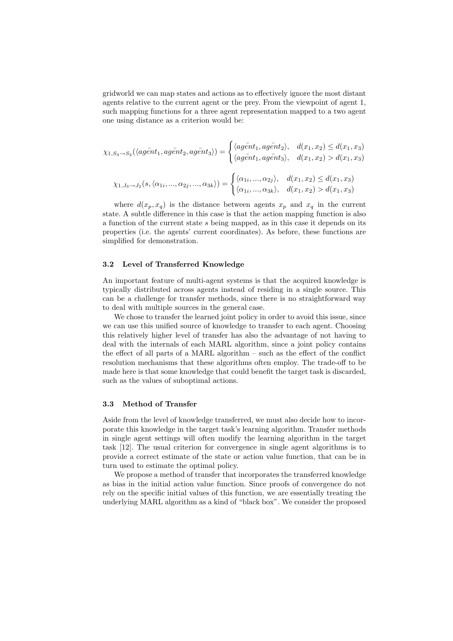gridworld we can map states and actions as to effectively ignore the most distant agents relative to the current agent or the prey. From the viewpoint of agent 1, such mapping functions for a three agent representation mapped to a two agent one using distance as a criterion would be:

$$
\chi_{1,S_3 \to S_2}(\langle a \overline{g} \overline{e} nt_1, a \overline{g} \overline{e} nt_2, a \overline{g} \overline{e} nt_3 \rangle) = \begin{cases} \langle a \overline{g} \overline{e} nt_1, a \overline{g} \overline{e} nt_2 \rangle, & d(x_1, x_2) \le d(x_1, x_3) \\ \langle a \overline{g} \overline{e} nt_1, a \overline{g} \overline{e} nt_3 \rangle, & d(x_1, x_2) > d(x_1, x_3) \end{cases}
$$

$$
\chi_{1,J_3 \to J_2}(s, \langle \alpha_{1i}, ..., \alpha_{2j}, ..., \alpha_{3k} \rangle) = \begin{cases} \langle \alpha_{1i}, ..., \alpha_{2j} \rangle, & d(x_1, x_2) \le d(x_1, x_3) \\ \langle \alpha_{1i}, ..., \alpha_{3k} \rangle, & d(x_1, x_2) > d(x_1, x_3) \end{cases}
$$

where  $d(x_p, x_q)$  is the distance between agents  $x_p$  and  $x_q$  in the current state. A subtle difference in this case is that the action mapping function is also a function of the current state s being mapped, as in this case it depends on its properties (i.e. the agents' current coordinates). As before, these functions are simplified for demonstration.

#### 3.2 Level of Transferred Knowledge

An important feature of multi-agent systems is that the acquired knowledge is typically distributed across agents instead of residing in a single source. This can be a challenge for transfer methods, since there is no straightforward way to deal with multiple sources in the general case.

We chose to transfer the learned joint policy in order to avoid this issue, since we can use this unified source of knowledge to transfer to each agent. Choosing this relatively higher level of transfer has also the advantage of not having to deal with the internals of each MARL algorithm, since a joint policy contains the effect of all parts of a MARL algorithm – such as the effect of the conflict resolution mechanisms that these algorithms often employ. The trade-off to be made here is that some knowledge that could benefit the target task is discarded, such as the values of suboptimal actions.

# 3.3 Method of Transfer

Aside from the level of knowledge transferred, we must also decide how to incorporate this knowledge in the target task's learning algorithm. Transfer methods in single agent settings will often modify the learning algorithm in the target task [12]. The usual criterion for convergence in single agent algorithms is to provide a correct estimate of the state or action value function, that can be in turn used to estimate the optimal policy.

We propose a method of transfer that incorporates the transferred knowledge as bias in the initial action value function. Since proofs of convergence do not rely on the specific initial values of this function, we are essentially treating the underlying MARL algorithm as a kind of "black box". We consider the proposed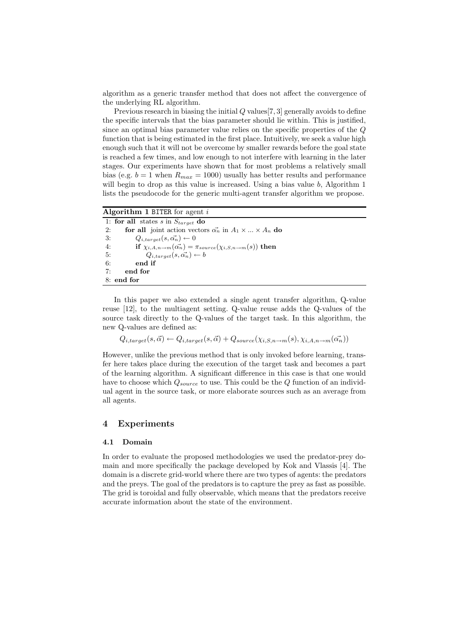algorithm as a generic transfer method that does not affect the convergence of the underlying RL algorithm.

Previous research in biasing the initial  $Q$  values  $[7, 3]$  generally avoids to define the specific intervals that the bias parameter should lie within. This is justified, since an optimal bias parameter value relies on the specific properties of the Q function that is being estimated in the first place. Intuitively, we seek a value high enough such that it will not be overcome by smaller rewards before the goal state is reached a few times, and low enough to not interfere with learning in the later stages. Our experiments have shown that for most problems a relatively small bias (e.g.  $b = 1$  when  $R_{max} = 1000$ ) usually has better results and performance will begin to drop as this value is increased. Using a bias value b, Algorithm 1 lists the pseudocode for the generic multi-agent transfer algorithm we propose.

| <b>Algorithm 1 BITER</b> for agent $i$                                                 |
|----------------------------------------------------------------------------------------|
| 1: for all states s in $S_{target}$ do                                                 |
| for all joint action vectors $\vec{\alpha_n}$ in $A_1 \times  \times A_n$ do<br>2:     |
| $Q_{i, target}(s, \vec{\alpha_n}) \leftarrow 0$<br>3:                                  |
| if $\chi_{i,A,n\to m}(\vec{\alpha_n}) = \pi_{source}(\chi_{i,S,n\to m}(s))$ then<br>4: |
| 5:<br>$Q_{i, target}(s, \vec{\alpha_n}) \leftarrow b$                                  |
| 6:<br>end if                                                                           |
| 7:<br>end for                                                                          |
| 8: end for                                                                             |

In this paper we also extended a single agent transfer algorithm, Q-value reuse [12], to the multiagent setting. Q-value reuse adds the Q-values of the source task directly to the Q-values of the target task. In this algorithm, the new Q-values are defined as:

 $Q_{i, target}(s, \vec{\alpha}) \leftarrow Q_{i, target}(s, \vec{\alpha}) + Q_{source}(\chi_{i, S, n \rightarrow m}(s), \chi_{i, A, n \rightarrow m}(\vec{\alpha_n}))$ 

However, unlike the previous method that is only invoked before learning, transfer here takes place during the execution of the target task and becomes a part of the learning algorithm. A significant difference in this case is that one would have to choose which  $Q_{source}$  to use. This could be the  $Q$  function of an individual agent in the source task, or more elaborate sources such as an average from all agents.

# 4 Experiments

### 4.1 Domain

In order to evaluate the proposed methodologies we used the predator-prey domain and more specifically the package developed by Kok and Vlassis [4]. The domain is a discrete grid-world where there are two types of agents: the predators and the preys. The goal of the predators is to capture the prey as fast as possible. The grid is toroidal and fully observable, which means that the predators receive accurate information about the state of the environment.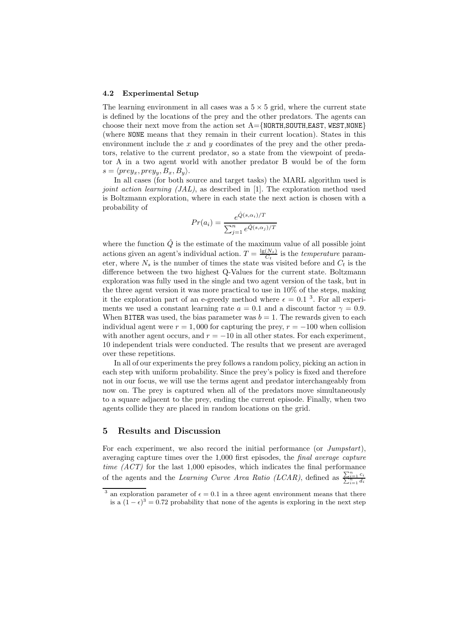#### 4.2 Experimental Setup

The learning environment in all cases was a  $5 \times 5$  grid, where the current state is defined by the locations of the prey and the other predators. The agents can choose their next move from the action set  $A = \{NORTH, SOLUTION, REST, WORK\}$ (where NONE means that they remain in their current location). States in this environment include the  $x$  and  $y$  coordinates of the prey and the other predators, relative to the current predator, so a state from the viewpoint of predator A in a two agent world with another predator B would be of the form  $s = \langle prey_x, prey_y, B_x, B_y \rangle.$ 

In all cases (for both source and target tasks) the MARL algorithm used is joint action learning (*JAL*), as described in [1]. The exploration method used is Boltzmann exploration, where in each state the next action is chosen with a probability of

$$
Pr(a_i) = \frac{e^{\hat{Q}(s,\alpha_i)/T}}{\sum_{j=1}^n e^{\hat{Q}(s,\alpha_j)/T}}
$$

where the function  $\hat{Q}$  is the estimate of the maximum value of all possible joint actions given an agent's individual action.  $T = \frac{\lg(N_s)}{C_s}$  $\frac{(N_s)}{C_t}$  is the *temperature* parameter, where  $N_s$  is the number of times the state was visited before and  $C_t$  is the difference between the two highest Q-Values for the current state. Boltzmann exploration was fully used in the single and two agent version of the task, but in the three agent version it was more practical to use in  $10\%$  of the steps, making it the exploration part of an e-greedy method where  $\epsilon = 0.1$ <sup>3</sup>. For all experiments we used a constant learning rate  $a = 0.1$  and a discount factor  $\gamma = 0.9$ . When BITER was used, the bias parameter was  $b = 1$ . The rewards given to each individual agent were  $r = 1,000$  for capturing the prey,  $r = -100$  when collision with another agent occurs, and  $r = -10$  in all other states. For each experiment, 10 independent trials were conducted. The results that we present are averaged over these repetitions.

In all of our experiments the prey follows a random policy, picking an action in each step with uniform probability. Since the prey's policy is fixed and therefore not in our focus, we will use the terms agent and predator interchangeably from now on. The prey is captured when all of the predators move simultaneously to a square adjacent to the prey, ending the current episode. Finally, when two agents collide they are placed in random locations on the grid.

### 5 Results and Discussion

For each experiment, we also record the initial performance (or *Jumpstart*), averaging capture times over the 1,000 first episodes, the final average capture time (ACT) for the last 1,000 episodes, which indicates the final performance of the agents and the Learning Curve Area Ratio (LCAR), defined as  $\frac{\sum_{i=1}^{n} c_i}{\sum_{i=1}^{n} d_i}$ 

<sup>&</sup>lt;sup>3</sup> an exploration parameter of  $\epsilon = 0.1$  in a three agent environment means that there is a  $(1 - \epsilon)^3 = 0.72$  probability that none of the agents is exploring in the next step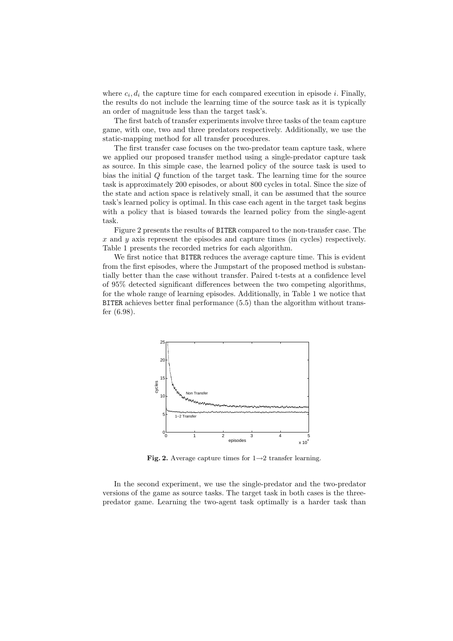where  $c_i, d_i$  the capture time for each compared execution in episode *i*. Finally, the results do not include the learning time of the source task as it is typically an order of magnitude less than the target task's.

The first batch of transfer experiments involve three tasks of the team capture game, with one, two and three predators respectively. Additionally, we use the static-mapping method for all transfer procedures.

The first transfer case focuses on the two-predator team capture task, where we applied our proposed transfer method using a single-predator capture task as source. In this simple case, the learned policy of the source task is used to bias the initial Q function of the target task. The learning time for the source task is approximately 200 episodes, or about 800 cycles in total. Since the size of the state and action space is relatively small, it can be assumed that the source task's learned policy is optimal. In this case each agent in the target task begins with a policy that is biased towards the learned policy from the single-agent task.

Figure 2 presents the results of BITER compared to the non-transfer case. The x and  $y$  axis represent the episodes and capture times (in cycles) respectively. Table 1 presents the recorded metrics for each algorithm.

We first notice that BITER reduces the average capture time. This is evident from the first episodes, where the Jumpstart of the proposed method is substantially better than the case without transfer. Paired t-tests at a confidence level of 95% detected significant differences between the two competing algorithms, for the whole range of learning episodes. Additionally, in Table 1 we notice that BITER achieves better final performance (5.5) than the algorithm without transfer (6.98).



Fig. 2. Average capture times for  $1\rightarrow 2$  transfer learning.

In the second experiment, we use the single-predator and the two-predator versions of the game as source tasks. The target task in both cases is the threepredator game. Learning the two-agent task optimally is a harder task than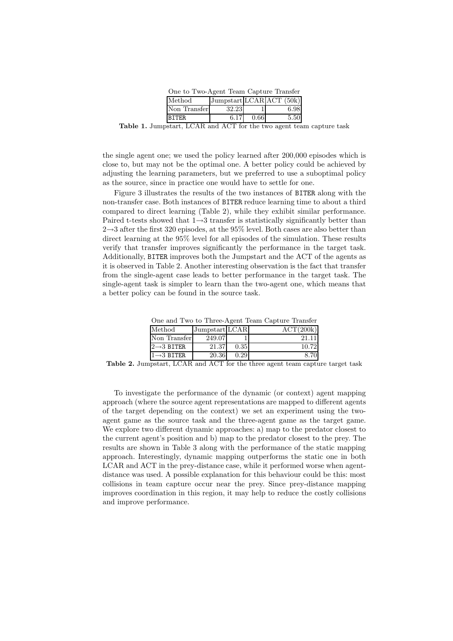| One to Two-Agent Team Capture Transfer |       |      |                              |  |  |
|----------------------------------------|-------|------|------------------------------|--|--|
| Method                                 |       |      | $Jumpstart$ LCAR ACT $(50k)$ |  |  |
| Non Transfer                           | 32.23 |      | 6.98                         |  |  |
| <b>BITER</b>                           | 6.17  | 0.66 | 5.50                         |  |  |

Table 1. Jumpstart, LCAR and ACT for the two agent team capture task

the single agent one; we used the policy learned after 200,000 episodes which is close to, but may not be the optimal one. A better policy could be achieved by adjusting the learning parameters, but we preferred to use a suboptimal policy as the source, since in practice one would have to settle for one.

Figure 3 illustrates the results of the two instances of BITER along with the non-transfer case. Both instances of BITER reduce learning time to about a third compared to direct learning (Table 2), while they exhibit similar performance. Paired t-tests showed that  $1\rightarrow 3$  transfer is statistically significantly better than  $2\rightarrow 3$  after the first 320 episodes, at the 95% level. Both cases are also better than direct learning at the 95% level for all episodes of the simulation. These results verify that transfer improves significantly the performance in the target task. Additionally, BITER improves both the Jumpstart and the ACT of the agents as it is observed in Table 2. Another interesting observation is the fact that transfer from the single-agent case leads to better performance in the target task. The single-agent task is simpler to learn than the two-agent one, which means that a better policy can be found in the source task.

One and Two to Three-Agent Team Capture Transfer Method Jumpstart LCAR ACT(200k) Non Transfer 249.07 1 21.11  $2 \rightarrow 3$  BITER  $21.37 \quad 0.35$  10.72  $1 \rightarrow 3$  BITER  $20.36$   $0.29$  8.70

Table 2. Jumpstart, LCAR and ACT for the three agent team capture target task

To investigate the performance of the dynamic (or context) agent mapping approach (where the source agent representations are mapped to different agents of the target depending on the context) we set an experiment using the twoagent game as the source task and the three-agent game as the target game. We explore two different dynamic approaches: a) map to the predator closest to the current agent's position and b) map to the predator closest to the prey. The results are shown in Table 3 along with the performance of the static mapping approach. Interestingly, dynamic mapping outperforms the static one in both LCAR and ACT in the prey-distance case, while it performed worse when agentdistance was used. A possible explanation for this behaviour could be this: most collisions in team capture occur near the prey. Since prey-distance mapping improves coordination in this region, it may help to reduce the costly collisions and improve performance.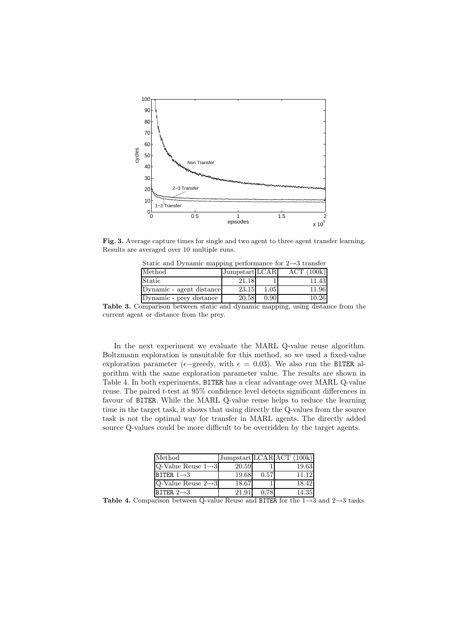

Fig. 3. Average capture times for single and two agent to three agent transfer learning. Results are averaged over 10 multiple runs.

| Static and Dynamic mapping performance for $2\rightarrow 3$ transfer |       |      |                           |  |
|----------------------------------------------------------------------|-------|------|---------------------------|--|
| Method                                                               |       |      | Jumpstart LCAR ACT (100k) |  |
| Static                                                               | 21.18 |      | 11.43                     |  |
| Dynamic - agent distance                                             | 23.15 | 1.05 | 11.96                     |  |
| Dynamic - prey distance                                              | 20.58 | 0.90 | 10.26                     |  |

Table 3. Comparison between static and dynamic mapping, using distance from the current agent or distance from the prey.

In the next experiment we evaluate the MARL Q-value reuse algorithm. Boltzmann exploration is unsuitable for this method, so we used a fixed-value exploration parameter ( $\epsilon$ –greedy, with  $\epsilon = 0.03$ ). We also run the BITER algorithm with the same exploration parameter value. The results are shown in Table 4. In both experiments, BITER has a clear advantage over MARL Q-value reuse. The paired t-test at 95% confidence level detects significant differences in favour of BITER. While the MARL Q-value reuse helps to reduce the learning time in the target task, it shows that using directly the Q-values from the source task is not the optimal way for transfer in MARL agents. The directly added source Q-values could be more difficult to be overridden by the target agents.

| Method                         |       |      | Jumpstart LCAR ACT (100k) |
|--------------------------------|-------|------|---------------------------|
| Q-Value Reuse $1\rightarrow 3$ | 20.59 |      | 19.63                     |
| BITER $1\rightarrow 3$         | 19.68 | 0.57 | 11.12                     |
| Q-Value Reuse $2\rightarrow3$  | 18.67 |      | 18.42                     |
| BITER $2\rightarrow 3$         | 21.91 | 0.78 | 14.35                     |

Table 4. Comparison between Q-value Reuse and BITER for the  $1\rightarrow 3$  and  $2\rightarrow 3$  tasks.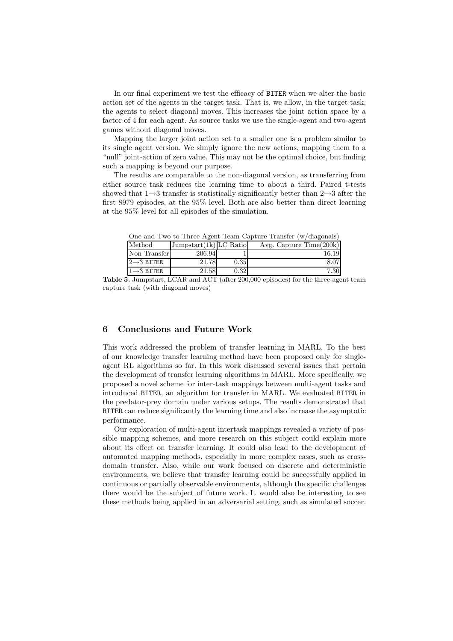In our final experiment we test the efficacy of BITER when we alter the basic action set of the agents in the target task. That is, we allow, in the target task, the agents to select diagonal moves. This increases the joint action space by a factor of 4 for each agent. As source tasks we use the single-agent and two-agent games without diagonal moves.

Mapping the larger joint action set to a smaller one is a problem similar to its single agent version. We simply ignore the new actions, mapping them to a "null" joint-action of zero value. This may not be the optimal choice, but finding such a mapping is beyond our purpose.

The results are comparable to the non-diagonal version, as transferring from either source task reduces the learning time to about a third. Paired t-tests showed that  $1\rightarrow 3$  transfer is statistically significantly better than  $2\rightarrow 3$  after the first 8979 episodes, at the 95% level. Both are also better than direct learning at the 95% level for all episodes of the simulation.

| One and Two to Three Agent Team Capture Transfer (w/diagonals) |                          |      |                         |  |
|----------------------------------------------------------------|--------------------------|------|-------------------------|--|
| Method                                                         | $Jumpstart(1k)$ LC Ratio |      | Avg. Capture Time(200k) |  |
| Non Transfer                                                   | 206.94                   |      | 16.19                   |  |
| $2\rightarrow 3$ BITER                                         | 21.78                    | 0.35 | 8.07                    |  |
| $1\!\!\rightarrow\!\!3$ BITER.                                 | 21.58                    | 0.32 | 7.30                    |  |

Table 5. Jumpstart, LCAR and ACT (after 200,000 episodes) for the three-agent team capture task (with diagonal moves)

# 6 Conclusions and Future Work

This work addressed the problem of transfer learning in MARL. To the best of our knowledge transfer learning method have been proposed only for singleagent RL algorithms so far. In this work discussed several issues that pertain the development of transfer learning algorithms in MARL. More specifically, we proposed a novel scheme for inter-task mappings between multi-agent tasks and introduced BITER, an algorithm for transfer in MARL. We evaluated BITER in the predator-prey domain under various setups. The results demonstrated that BITER can reduce significantly the learning time and also increase the asymptotic performance.

Our exploration of multi-agent intertask mappings revealed a variety of possible mapping schemes, and more research on this subject could explain more about its effect on transfer learning. It could also lead to the development of automated mapping methods, especially in more complex cases, such as crossdomain transfer. Also, while our work focused on discrete and deterministic environments, we believe that transfer learning could be successfully applied in continuous or partially observable environments, although the specific challenges there would be the subject of future work. It would also be interesting to see these methods being applied in an adversarial setting, such as simulated soccer.